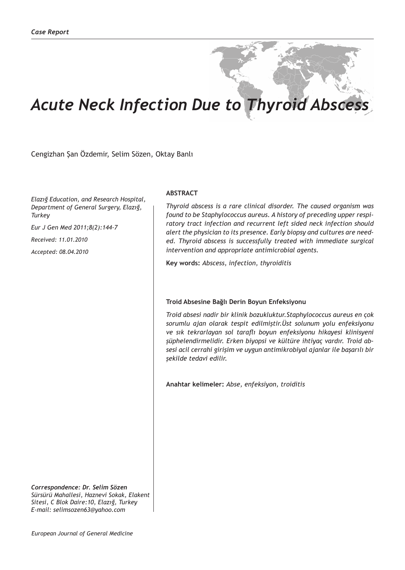# *Acute Neck Infection Due to Thyroid Abscess*

Cengizhan Şan Özdemir, Selim Sözen, Oktay Banlı

*Elazığ Education, and Research Hospital, Department of General Surgery, Elazığ, Turkey*

*Eur J Gen Med 2011;8(2):144-7*

*Received: 11.01.2010*

*Accepted: 08.04.2010*

### **ABSTRACT**

*Thyroid abscess is a rare clinical disorder. The caused organism was found to be Staphylococcus aureus. A history of preceding upper respiratory tract infection and recurrent left sided neck infection should alert the physician to its presence. Early biopsy and cultures are needed. Thyroid abscess is successfully treated with immediate surgical intervention and appropriate antimicrobial agents.*

**Key words:** *Abscess, infection, thyroiditis* 

#### **Troid Absesine Bağlı Derin Boyun Enfeksiyonu**

*Troid absesi nadir bir klinik bozukluktur.Staphylococcus aureus en çok sorumlu ajan olarak tespit edilmiştir.Üst solunum yolu enfeksiyonu ve sık tekrarlayan sol taraflı boyun enfeksiyonu hikayesi klinisyeni şüphelendirmelidir. Erken biyopsi ve kültüre ihtiyaç vardır. Troid absesi acil cerrahi girişim ve uygun antimikrobiyal ajanlar ile başarılı bir şekilde tedavi edilir.*

**Anahtar kelimeler:** *Abse, enfeksiyon, troiditis*

*Correspondence: Dr. Selim Sözen Sürsürü Mahallesi, Haznevi Sokak, Elakent Sitesi, C Blok Daire:10, Elazığ, Turkey E-mail: selimsozen63@yahoo.com*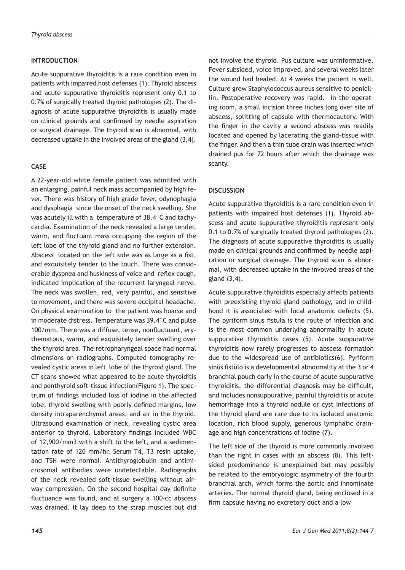## **INTRODUCTION**

Acute suppurative thyroiditis is a rare condition even in patients with impaired host defenses (1). Thyroid abscess and acute suppurative thyroiditis represent only 0.1 to 0.7% of surgically treated thyroid pathologies (2). The diagnosis of acute suppurative thyroiditis is usually made on clinical grounds and confirmed by needle aspiration or surgical drainage. The thyroid scan is abnormal, with decreased uptake in the involved areas of the gland (3,4).

## **CASE**

A 22-year-old white female patient was admitted with an enlarging, painful neck mass accompanied by high fever. There was history of high grade fever, odynophagia and dysphagia since the onset of the neck swelling. She was acutely ill with a temperature of 38.4°C and tachycardia. Examination of the neck revealed a large tender, warm, and fluctuant mass occupying the region of the left lobe of the thyroid gland and no further extension. Abscess located on the left side was as large as a fist, and exquisitely tender to the touch. There was considerable dyspnea and huskiness of voice and reflex cough, indicated implication of the recurrent laryngeal nerve. The neck was swollen, red, very painful, and sensitive to movement, and there was severe occipital headache. On physical examination to the patient was hoarse and in moderate distress. Temperature was 39.4°C and pulse 100/mm. There was a diffuse, tense, nonfluctuant, erythematous, warm, and exquisitely tender swelling over the thyroid area. The retropharyngeal space had normal dimensions on radiographs. Computed tomography revealed cystic areas in left lobe of the thyroid gland. The CT scans showed what appeared to be acute thyroiditis and penthyroid soft-tissue infection(Figure 1). The spectrum of findings included loss of iodine in the affected lobe, thyroid swelling with poorly defined margins, low density intraparenchymal areas, and air in the thyroid. Ultrasound examination of neck, revealing cystic area anterior to thyroid. Laboratory findings included WBC of 12,900/mm3 with a shift to the left, and a sedimentation rate of 120 mm/hr. Serum T4, T3 resin uptake, and TSH were normal. Antithyroglobulin and antimicrosomal antibodies were undetectable. Radiographs of the neck revealed soft-tissue swelling without airway compression. On the second hospital day definite fluctuance was found, and at surgery a 100-cc abscess was drained. It lay deep to the strap muscles but did

not involve the thyroid. Pus culture was uninformative. Fever subsided, voice improved, and several weeks later the wound had healed. At 4 weeks the patient is well. Culture grew Staphylococcus aureus sensitive to penicillin. Postoperative recovery was rapid. In the operating room, a small incision three inches long over site of abscess, splitting of capsule with thermocautery, With the finger in the cavity a second abscess was readily located and opened by lacerating the gland-tissue with the finger. And then a thin tube drain was inserted which drained pus for 72 hours after which the drainage was scanty.

## **DISCUSSION**

Acute suppurative thyroiditis is a rare condition even in patients with impaired host defenses (1). Thyroid abscess and acute suppurative thyroiditis represent only 0.1 to 0.7% of surgically treated thyroid pathologies (2). The diagnosis of acute suppurative thyroiditis is usually made on clinical grounds and confirmed by needle aspiration or surgical drainage. The thyroid scan is abnormal, with decreased uptake in the involved areas of the gland (3,4).

Acute suppurative thyroiditis especially affects patients with preexisting thyroid gland pathology, and in childhood it is associated with local anatomic defects (5). The pyriform sinus fistula is the route of infection and is the most common underlying abnormality in acute suppurative thyroiditis cases (5). Acute suppurative thyroiditis now rarely progresses to abscess formation due to the widespread use of antibiotics(6). Pyriform sinüs fistülo is a developmental abnormality at the 3 or 4 branchial pouch early in the course of acute suppurative thyroiditis, the differential diagnosis may be difficult, and includes nonsuppurative, painful thyroiditis or acute hemorrhage into a thyroid nodule or cyst Infections of the thyroid gland are rare due to its isolated anatomic location, rich blood supply, generous lymphatic drainage and high concentrations of iodine (7).

The left side of the thyroid is more commonly involved than the right in cases with an abscess (8). This leftsided predominance is unexplained but may possibly be related to the embryologic asymmetry of the fourth branchial arch, which forms the aortic and innominate arteries. The normal thyroid gland, being enclosed in a firm capsule having no excretory duct and a low